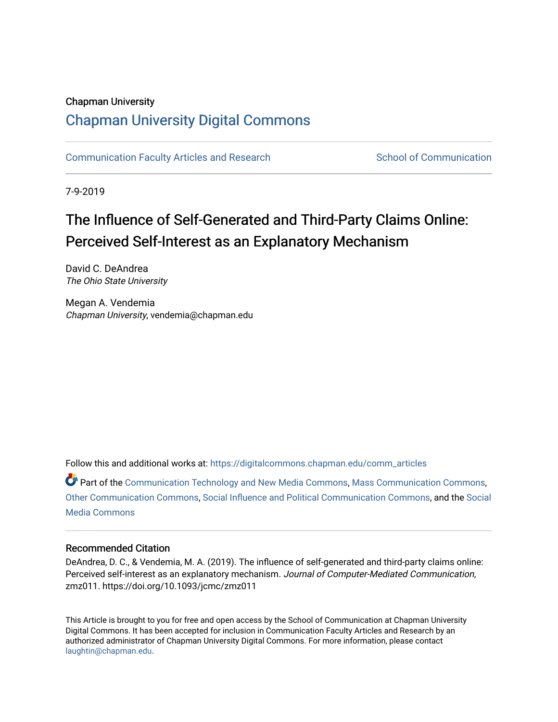### Chapman University

# [Chapman University Digital Commons](https://digitalcommons.chapman.edu/)

[Communication Faculty Articles and Research](https://digitalcommons.chapman.edu/comm_articles) School of Communication

7-9-2019

# The Influence of Self-Generated and Third-Party Claims Online: Perceived Self-Interest as an Explanatory Mechanism

David C. DeAndrea The Ohio State University

Megan A. Vendemia Chapman University, vendemia@chapman.edu

Follow this and additional works at: [https://digitalcommons.chapman.edu/comm\\_articles](https://digitalcommons.chapman.edu/comm_articles?utm_source=digitalcommons.chapman.edu%2Fcomm_articles%2F64&utm_medium=PDF&utm_campaign=PDFCoverPages) 

Part of the [Communication Technology and New Media Commons,](http://network.bepress.com/hgg/discipline/327?utm_source=digitalcommons.chapman.edu%2Fcomm_articles%2F64&utm_medium=PDF&utm_campaign=PDFCoverPages) [Mass Communication Commons,](http://network.bepress.com/hgg/discipline/334?utm_source=digitalcommons.chapman.edu%2Fcomm_articles%2F64&utm_medium=PDF&utm_campaign=PDFCoverPages) [Other Communication Commons](http://network.bepress.com/hgg/discipline/339?utm_source=digitalcommons.chapman.edu%2Fcomm_articles%2F64&utm_medium=PDF&utm_campaign=PDFCoverPages), [Social Influence and Political Communication Commons](http://network.bepress.com/hgg/discipline/337?utm_source=digitalcommons.chapman.edu%2Fcomm_articles%2F64&utm_medium=PDF&utm_campaign=PDFCoverPages), and the [Social](http://network.bepress.com/hgg/discipline/1249?utm_source=digitalcommons.chapman.edu%2Fcomm_articles%2F64&utm_medium=PDF&utm_campaign=PDFCoverPages) [Media Commons](http://network.bepress.com/hgg/discipline/1249?utm_source=digitalcommons.chapman.edu%2Fcomm_articles%2F64&utm_medium=PDF&utm_campaign=PDFCoverPages)

#### Recommended Citation

DeAndrea, D. C., & Vendemia, M. A. (2019). The influence of self-generated and third-party claims online: Perceived self-interest as an explanatory mechanism. Journal of Computer-Mediated Communication, zmz011. https://doi.org/10.1093/jcmc/zmz011

This Article is brought to you for free and open access by the School of Communication at Chapman University Digital Commons. It has been accepted for inclusion in Communication Faculty Articles and Research by an authorized administrator of Chapman University Digital Commons. For more information, please contact [laughtin@chapman.edu.](mailto:laughtin@chapman.edu)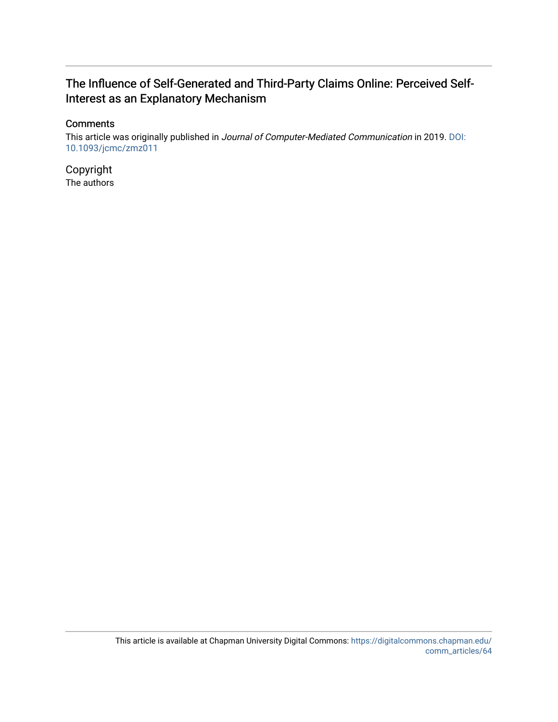## The Influence of Self-Generated and Third-Party Claims Online: Perceived Self-Interest as an Explanatory Mechanism

### **Comments**

This article was originally published in Journal of Computer-Mediated Communication in 2019. [DOI:](https://doi.org/10.1093/jcmc/zmz011) [10.1093/jcmc/zmz011](https://doi.org/10.1093/jcmc/zmz011) 

Copyright The authors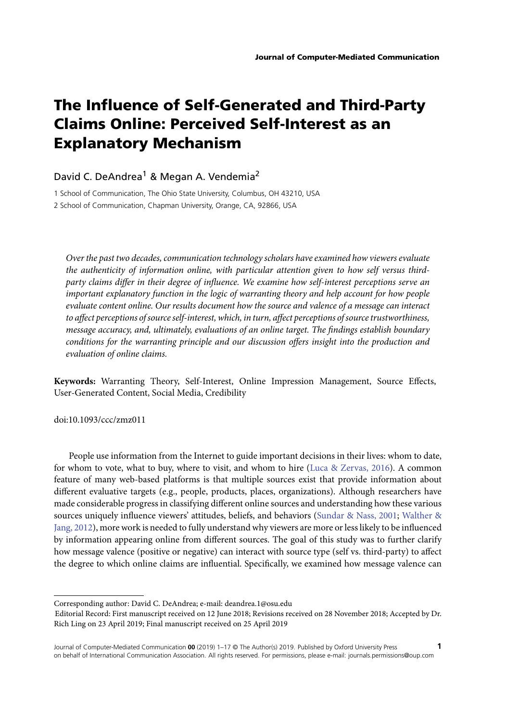# **The Influence of Self-Generated and Third-Party Claims Online: Perceived Self-Interest as an Explanatory Mechanism**

#### David C. DeAndrea<sup>1</sup> & Megan A. Vendemia<sup>2</sup>

1 School of Communication, The Ohio State University, Columbus, OH 43210, USA

2 School of Communication, Chapman University, Orange, CA, 92866, USA

*Over the past two decades, communication technology scholars have examined how viewers evaluate the authenticity of information online, with particular attention given to how self versus thirdparty claims differ in their degree of influence. We examine how self-interest perceptions serve an important explanatory function in the logic of warranting theory and help account for how people evaluate content online. Our results document how the source and valence of a message can interact to affect perceptions of source self-interest, which, in turn, affect perceptions of source trustworthiness, message accuracy, and, ultimately, evaluations of an online target. The findings establish boundary conditions for the warranting principle and our discussion offers insight into the production and evaluation of online claims.*

**Keywords:** Warranting Theory, Self-Interest, Online Impression Management, Source Effects, User-Generated Content, Social Media, Credibility

doi:10.1093/ccc/zmz011

People use information from the Internet to guide important decisions in their lives: whom to date, for whom to vote, what to buy, where to visit, and whom to hire [\(Luca & Zervas, 2016\)](#page-17-0). A common feature of many web-based platforms is that multiple sources exist that provide information about different evaluative targets (e.g., people, products, places, organizations). Although researchers have made considerable progress in classifying different online sources and understanding how these various sources uniquely influence viewers' attitudes, beliefs, and behaviors [\(Sundar & Nass, 2001;](#page-18-0) Walther & [Jang, 2012\), more work is needed to fully understand why viewers are more or less likely to be influenced](#page-18-1) by information appearing online from different sources. The goal of this study was to further clarify how message valence (positive or negative) can interact with source type (self vs. third-party) to affect the degree to which online claims are influential. Specifically, we examined how message valence can

Corresponding author: David C. DeAndrea; e-mail: deandrea.1@osu.edu

Editorial Record: First manuscript received on 12 June 2018; Revisions received on 28 November 2018; Accepted by Dr. Rich Ling on 23 April 2019; Final manuscript received on 25 April 2019

Journal of Computer-Mediated Communication **00** (2019) 1–17 © The Author(s) 2019. Published by Oxford University Press **1** on behalf of International Communication Association. All rights reserved. For permissions, please e-mail: journals.permissions@oup.com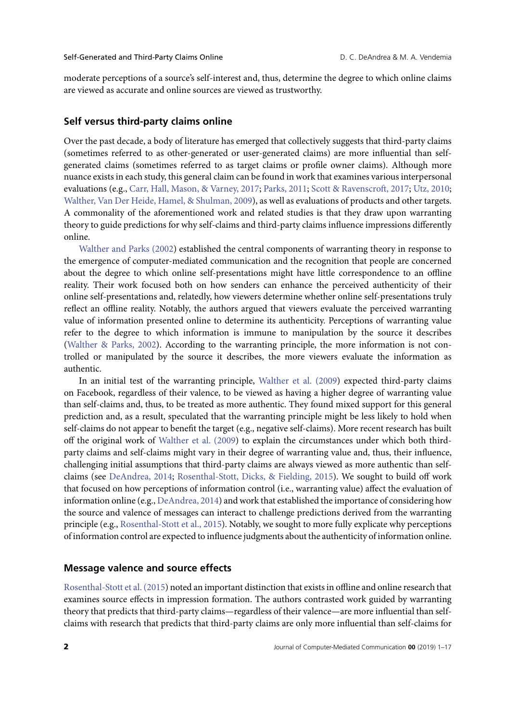moderate perceptions of a source's self-interest and, thus, determine the degree to which online claims are viewed as accurate and online sources are viewed as trustworthy.

#### **Self versus third-party claims online**

Over the past decade, a body of literature has emerged that collectively suggests that third-party claims (sometimes referred to as other-generated or user-generated claims) are more influential than selfgenerated claims (sometimes referred to as target claims or profile owner claims). Although more nuance exists in each study, this general claim can be found in work that examines various interpersonal evaluations (e.g., [Carr, Hall, Mason, & Varney, 2017;](#page-16-0) [Parks, 2011;](#page-17-1) [Scott & Ravenscroft, 2017;](#page-17-2) [Utz, 2010;](#page-18-2) [Walther, Van Der Heide, Hamel, & Shulman, 2009\)](#page-18-3), as well as evaluations of products and other targets. A commonality of the aforementioned work and related studies is that they draw upon warranting theory to guide predictions for why self-claims and third-party claims influence impressions differently online.

[Walther and Parks \(2002\)](#page-18-4) established the central components of warranting theory in response to the emergence of computer-mediated communication and the recognition that people are concerned about the degree to which online self-presentations might have little correspondence to an offline reality. Their work focused both on how senders can enhance the perceived authenticity of their online self-presentations and, relatedly, how viewers determine whether online self-presentations truly reflect an offline reality. Notably, the authors argued that viewers evaluate the perceived warranting value of information presented online to determine its authenticity. Perceptions of warranting value refer to the degree to which information is immune to manipulation by the source it describes [\(Walther & Parks, 2002\)](#page-18-4). According to the warranting principle, the more information is not controlled or manipulated by the source it describes, the more viewers evaluate the information as authentic.

In an initial test of the warranting principle, [Walther et al. \(2009\)](#page-18-3) expected third-party claims on Facebook, regardless of their valence, to be viewed as having a higher degree of warranting value than self-claims and, thus, to be treated as more authentic. They found mixed support for this general prediction and, as a result, speculated that the warranting principle might be less likely to hold when self-claims do not appear to benefit the target (e.g., negative self-claims). More recent research has built off the original work of [Walther et al. \(2009\)](#page-18-3) to explain the circumstances under which both thirdparty claims and self-claims might vary in their degree of warranting value and, thus, their influence, challenging initial assumptions that third-party claims are always viewed as more authentic than selfclaims (see [DeAndrea, 2014;](#page-16-1) [Rosenthal-Stott, Dicks, & Fielding, 2015\)](#page-17-3). We sought to build off work that focused on how perceptions of information control (i.e., warranting value) affect the evaluation of information online (e.g., [DeAndrea, 2014\)](#page-16-1) and work that established the importance of considering how the source and valence of messages can interact to challenge predictions derived from the warranting principle (e.g., [Rosenthal-Stott et al., 2015\)](#page-17-3). Notably, we sought to more fully explicate why perceptions of information control are expected to influence judgments about the authenticity of information online.

#### **Message valence and source effects**

[Rosenthal-Stott et al. \(2015\)](#page-17-3) noted an important distinction that exists in offline and online research that examines source effects in impression formation. The authors contrasted work guided by warranting theory that predicts that third-party claims—regardless of their valence—are more influential than selfclaims with research that predicts that third-party claims are only more influential than self-claims for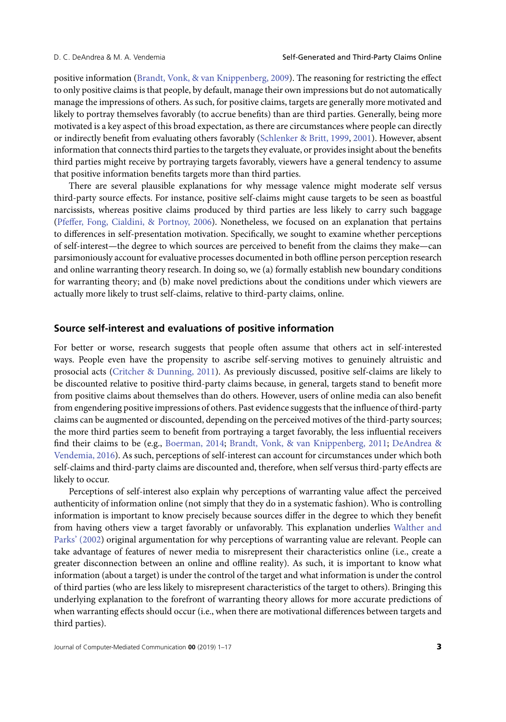positive information [\(Brandt, Vonk, & van Knippenberg, 2009\)](#page-16-2). The reasoning for restricting the effect to only positive claims is that people, by default, manage their own impressions but do not automatically manage the impressions of others. As such, for positive claims, targets are generally more motivated and likely to portray themselves favorably (to accrue benefits) than are third parties. Generally, being more motivated is a key aspect of this broad expectation, as there are circumstances where people can directly or indirectly benefit from evaluating others favorably [\(Schlenker & Britt, 1999,](#page-17-4) [2001\)](#page-17-5). However, absent information that connects third parties to the targets they evaluate, or provides insight about the benefits third parties might receive by portraying targets favorably, viewers have a general tendency to assume that positive information benefits targets more than third parties.

There are several plausible explanations for why message valence might moderate self versus third-party source effects. For instance, positive self-claims might cause targets to be seen as boastful narcissists, whereas positive claims produced by third parties are less likely to carry such baggage [\(Pfeffer, Fong, Cialdini, & Portnoy, 2006\)](#page-17-6). Nonetheless, we focused on an explanation that pertains to differences in self-presentation motivation. Specifically, we sought to examine whether perceptions of self-interest—the degree to which sources are perceived to benefit from the claims they make—can parsimoniously account for evaluative processes documented in both offline person perception research and online warranting theory research. In doing so, we (a) formally establish new boundary conditions for warranting theory; and (b) make novel predictions about the conditions under which viewers are actually more likely to trust self-claims, relative to third-party claims, online.

#### **Source self-interest and evaluations of positive information**

For better or worse, research suggests that people often assume that others act in self-interested ways. People even have the propensity to ascribe self-serving motives to genuinely altruistic and prosocial acts [\(Critcher & Dunning, 2011\)](#page-16-3). As previously discussed, positive self-claims are likely to be discounted relative to positive third-party claims because, in general, targets stand to benefit more from positive claims about themselves than do others. However, users of online media can also benefit from engendering positive impressions of others. Past evidence suggests that the influence of third-party claims can be augmented or discounted, depending on the perceived motives of the third-party sources; the more third parties seem to benefit from portraying a target favorably, the less influential receivers find their claims to be (e.g., [Boerman, 2014;](#page-16-4) [Brandt, Vonk, & van Knippenberg, 2011;](#page-16-5) DeAndrea & [Vendemia, 2016\). As such, perceptions of self-interest can account for circumstances under which both](#page-16-6) self-claims and third-party claims are discounted and, therefore, when self versus third-party effects are likely to occur.

Perceptions of self-interest also explain why perceptions of warranting value affect the perceived authenticity of information online (not simply that they do in a systematic fashion). Who is controlling information is important to know precisely because sources differ in the degree to which they benefit from having others view a target favorably or unfavorably. This explanation underlies Walther and [Parks' \(2002\) original argumentation for why perceptions of warranting value are relevant. People can](#page-18-4) take advantage of features of newer media to misrepresent their characteristics online (i.e., create a greater disconnection between an online and offline reality). As such, it is important to know what information (about a target) is under the control of the target and what information is under the control of third parties (who are less likely to misrepresent characteristics of the target to others). Bringing this underlying explanation to the forefront of warranting theory allows for more accurate predictions of when warranting effects should occur (i.e., when there are motivational differences between targets and third parties).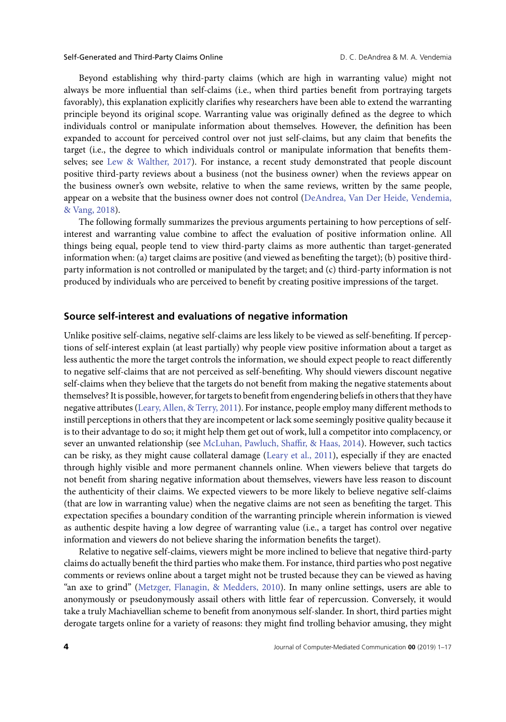Beyond establishing why third-party claims (which are high in warranting value) might not always be more influential than self-claims (i.e., when third parties benefit from portraying targets favorably), this explanation explicitly clarifies why researchers have been able to extend the warranting principle beyond its original scope. Warranting value was originally defined as the degree to which individuals control or manipulate information about themselves*.* However, the definition has been expanded to account for perceived control over not just self-claims, but any claim that benefits the target (i.e., the degree to which individuals control or manipulate information that benefits themselves; see [Lew & Walther, 2017\)](#page-17-7). For instance, a recent study demonstrated that people discount positive third-party reviews about a business (not the business owner) when the reviews appear on the business owner's own website, relative to when the same reviews, written by the same people, [appear on a website that the business owner does not control \(DeAndrea, Van Der Heide, Vendemia,](#page-16-7) & Vang, 2018).

The following formally summarizes the previous arguments pertaining to how perceptions of selfinterest and warranting value combine to affect the evaluation of positive information online. All things being equal, people tend to view third-party claims as more authentic than target-generated information when: (a) target claims are positive (and viewed as benefiting the target); (b) positive thirdparty information is not controlled or manipulated by the target; and (c) third-party information is not produced by individuals who are perceived to benefit by creating positive impressions of the target.

#### **Source self-interest and evaluations of negative information**

Unlike positive self-claims, negative self-claims are less likely to be viewed as self-benefiting. If perceptions of self-interest explain (at least partially) why people view positive information about a target as less authentic the more the target controls the information, we should expect people to react differently to negative self-claims that are not perceived as self-benefiting. Why should viewers discount negative self-claims when they believe that the targets do not benefit from making the negative statements about themselves? It is possible, however, for targets to benefit from engendering beliefs in others that they have negative attributes [\(Leary, Allen, & Terry, 2011\)](#page-17-8). For instance, people employ many different methods to instill perceptions in others that they are incompetent or lack some seemingly positive quality because it is to their advantage to do so; it might help them get out of work, lull a competitor into complacency, or sever an unwanted relationship (see [McLuhan, Pawluch, Shaffir, & Haas, 2014\)](#page-17-9). However, such tactics can be risky, as they might cause collateral damage [\(Leary et al., 2011\)](#page-17-8), especially if they are enacted through highly visible and more permanent channels online. When viewers believe that targets do not benefit from sharing negative information about themselves, viewers have less reason to discount the authenticity of their claims. We expected viewers to be more likely to believe negative self-claims (that are low in warranting value) when the negative claims are not seen as benefiting the target. This expectation specifies a boundary condition of the warranting principle wherein information is viewed as authentic despite having a low degree of warranting value (i.e., a target has control over negative information and viewers do not believe sharing the information benefits the target).

Relative to negative self-claims, viewers might be more inclined to believe that negative third-party claims do actually benefit the third parties who make them. For instance, third parties who post negative comments or reviews online about a target might not be trusted because they can be viewed as having "an axe to grind" [\(Metzger, Flanagin, & Medders, 2010\)](#page-17-10). In many online settings, users are able to anonymously or pseudonymously assail others with little fear of repercussion. Conversely, it would take a truly Machiavellian scheme to benefit from anonymous self-slander. In short, third parties might derogate targets online for a variety of reasons: they might find trolling behavior amusing, they might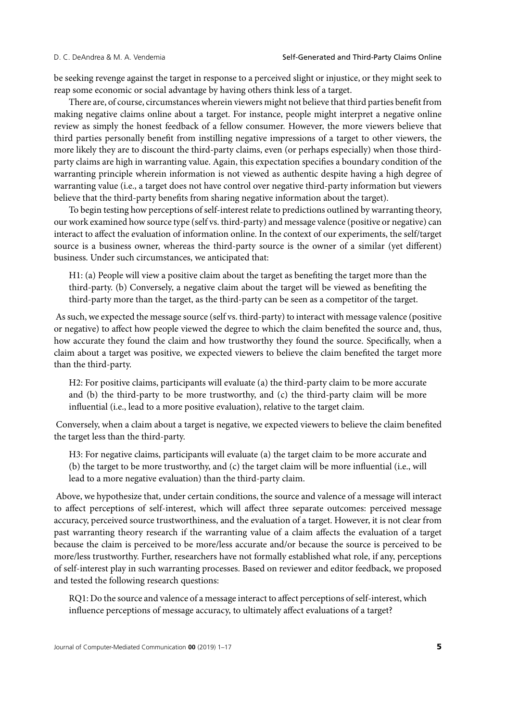be seeking revenge against the target in response to a perceived slight or injustice, or they might seek to reap some economic or social advantage by having others think less of a target.

There are, of course, circumstances wherein viewers might not believe that third parties benefit from making negative claims online about a target. For instance, people might interpret a negative online review as simply the honest feedback of a fellow consumer. However, the more viewers believe that third parties personally benefit from instilling negative impressions of a target to other viewers, the more likely they are to discount the third-party claims, even (or perhaps especially) when those thirdparty claims are high in warranting value. Again, this expectation specifies a boundary condition of the warranting principle wherein information is not viewed as authentic despite having a high degree of warranting value (i.e., a target does not have control over negative third-party information but viewers believe that the third-party benefits from sharing negative information about the target).

To begin testing how perceptions of self-interest relate to predictions outlined by warranting theory, our work examined how source type (self vs. third-party) and message valence (positive or negative) can interact to affect the evaluation of information online. In the context of our experiments, the self/target source is a business owner, whereas the third-party source is the owner of a similar (yet different) business. Under such circumstances, we anticipated that:

H1: (a) People will view a positive claim about the target as benefiting the target more than the third-party. (b) Conversely, a negative claim about the target will be viewed as benefiting the third-party more than the target, as the third-party can be seen as a competitor of the target.

As such, we expected the message source (self vs. third-party) to interact with message valence (positive or negative) to affect how people viewed the degree to which the claim benefited the source and, thus, how accurate they found the claim and how trustworthy they found the source. Specifically, when a claim about a target was positive, we expected viewers to believe the claim benefited the target more than the third-party.

H2: For positive claims, participants will evaluate (a) the third-party claim to be more accurate and (b) the third-party to be more trustworthy, and (c) the third-party claim will be more influential (i.e., lead to a more positive evaluation), relative to the target claim.

Conversely, when a claim about a target is negative, we expected viewers to believe the claim benefited the target less than the third-party.

H3: For negative claims, participants will evaluate (a) the target claim to be more accurate and (b) the target to be more trustworthy, and (c) the target claim will be more influential (i.e., will lead to a more negative evaluation) than the third-party claim.

Above, we hypothesize that, under certain conditions, the source and valence of a message will interact to affect perceptions of self-interest, which will affect three separate outcomes: perceived message accuracy, perceived source trustworthiness, and the evaluation of a target. However, it is not clear from past warranting theory research if the warranting value of a claim affects the evaluation of a target because the claim is perceived to be more/less accurate and/or because the source is perceived to be more/less trustworthy. Further, researchers have not formally established what role, if any, perceptions of self-interest play in such warranting processes. Based on reviewer and editor feedback, we proposed and tested the following research questions:

RQ1: Do the source and valence of a message interact to affect perceptions of self-interest, which influence perceptions of message accuracy, to ultimately affect evaluations of a target?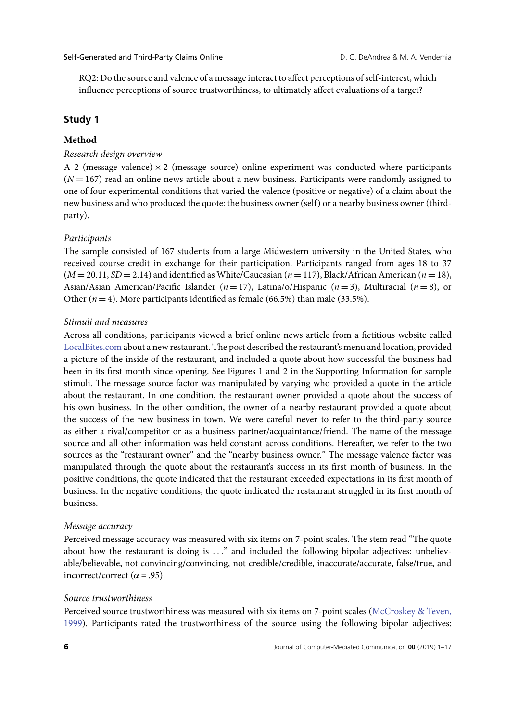RQ2: Do the source and valence of a message interact to affect perceptions of self-interest, which influence perceptions of source trustworthiness, to ultimately affect evaluations of a target?

#### **Study 1**

#### **Method**

#### *Research design overview*

A 2 (message valence)  $\times$  2 (message source) online experiment was conducted where participants  $(N = 167)$  read an online news article about a new business. Participants were randomly assigned to one of four experimental conditions that varied the valence (positive or negative) of a claim about the new business and who produced the quote: the business owner (self) or a nearby business owner (thirdparty).

#### *Participants*

The sample consisted of 167 students from a large Midwestern university in the United States, who received course credit in exchange for their participation. Participants ranged from ages 18 to 37  $(M = 20.11, SD = 2.14)$  and identified as White/Caucasian ( $n = 117$ ), Black/African American ( $n = 18$ ), Asian/Asian American/Pacific Islander (*n* = 17), Latina/o/Hispanic (*n* = 3), Multiracial (*n* = 8), or Other  $(n = 4)$ . More participants identified as female (66.5%) than male (33.5%).

#### *Stimuli and measures*

Across all conditions, participants viewed a brief online news article from a fictitious website called <LocalBites.com> about a new restaurant. The post described the restaurant's menu and location, provided a picture of the inside of the restaurant, and included a quote about how successful the business had been in its first month since opening. See Figures 1 and 2 in the Supporting Information for sample stimuli. The message source factor was manipulated by varying who provided a quote in the article about the restaurant. In one condition, the restaurant owner provided a quote about the success of his own business. In the other condition, the owner of a nearby restaurant provided a quote about the success of the new business in town. We were careful never to refer to the third-party source as either a rival/competitor or as a business partner/acquaintance/friend. The name of the message source and all other information was held constant across conditions. Hereafter, we refer to the two sources as the "restaurant owner" and the "nearby business owner." The message valence factor was manipulated through the quote about the restaurant's success in its first month of business. In the positive conditions, the quote indicated that the restaurant exceeded expectations in its first month of business. In the negative conditions, the quote indicated the restaurant struggled in its first month of business.

#### *Message accuracy*

Perceived message accuracy was measured with six items on 7-point scales. The stem read "The quote about how the restaurant is doing is *...*" and included the following bipolar adjectives: unbelievable/believable, not convincing/convincing, not credible/credible, inaccurate/accurate, false/true, and incorrect/correct ( $\alpha$  = .95).

#### *Source trustworthiness*

[Perceived source trustworthiness was measured with six items on 7-point scales \(McCroskey & Teven,](#page-17-11) 1999). Participants rated the trustworthiness of the source using the following bipolar adjectives: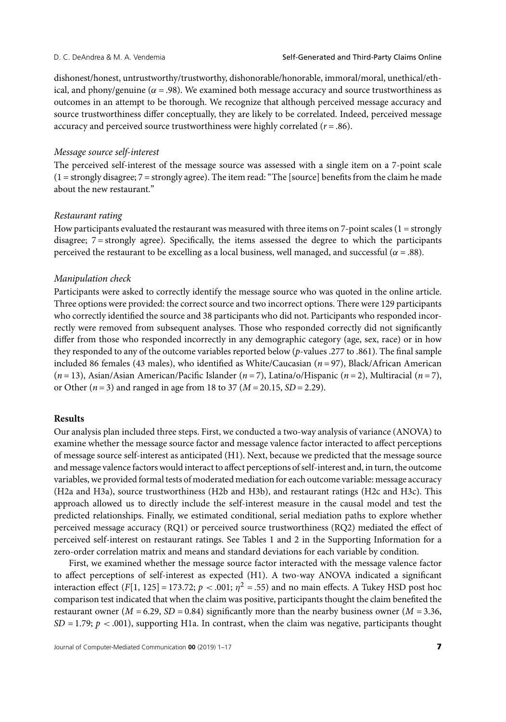dishonest/honest, untrustworthy/trustworthy, dishonorable/honorable, immoral/moral, unethical/ethical, and phony/genuine ( $\alpha$  = .98). We examined both message accuracy and source trustworthiness as outcomes in an attempt to be thorough. We recognize that although perceived message accuracy and source trustworthiness differ conceptually, they are likely to be correlated. Indeed, perceived message accuracy and perceived source trustworthiness were highly correlated  $(r = .86)$ .

#### *Message source self-interest*

The perceived self-interest of the message source was assessed with a single item on a 7-point scale (1 = strongly disagree; 7 = strongly agree). The item read: "The [source] benefits from the claim he made about the new restaurant."

#### *Restaurant rating*

How participants evaluated the restaurant was measured with three items on  $7$ -point scales ( $1 =$ strongly disagree; 7 = strongly agree). Specifically, the items assessed the degree to which the participants perceived the restaurant to be excelling as a local business, well managed, and successful ( $\alpha$  = .88).

#### *Manipulation check*

Participants were asked to correctly identify the message source who was quoted in the online article. Three options were provided: the correct source and two incorrect options. There were 129 participants who correctly identified the source and 38 participants who did not. Participants who responded incorrectly were removed from subsequent analyses. Those who responded correctly did not significantly differ from those who responded incorrectly in any demographic category (age, sex, race) or in how they responded to any of the outcome variables reported below (*p*-values .277 to .861). The final sample included 86 females (43 males), who identified as White/Caucasian (*n* = 97), Black/African American (*n* = 13), Asian/Asian American/Pacific Islander (*n* = 7), Latina/o/Hispanic (*n* = 2), Multiracial (*n* = 7), or Other (*n* = 3) and ranged in age from 18 to 37 (*M* = 20.15, *SD* = 2.29).

#### **Results**

Our analysis plan included three steps. First, we conducted a two-way analysis of variance (ANOVA) to examine whether the message source factor and message valence factor interacted to affect perceptions of message source self-interest as anticipated (H1). Next, because we predicted that the message source and message valence factors would interact to affect perceptions of self-interest and, in turn, the outcome variables, we provided formal tests of moderated mediation for each outcome variable: message accuracy (H2a and H3a), source trustworthiness (H2b and H3b), and restaurant ratings (H2c and H3c). This approach allowed us to directly include the self-interest measure in the causal model and test the predicted relationships. Finally, we estimated conditional, serial mediation paths to explore whether perceived message accuracy (RQ1) or perceived source trustworthiness (RQ2) mediated the effect of perceived self-interest on restaurant ratings. See Tables 1 and 2 in the Supporting Information for a zero-order correlation matrix and means and standard deviations for each variable by condition.

First, we examined whether the message source factor interacted with the message valence factor to affect perceptions of self-interest as expected (H1). A two-way ANOVA indicated a significant interaction effect  $(F[1, 125] = 173.72; p < .001; \eta^2 = .55)$  and no main effects. A Tukey HSD post hoc comparison test indicated that when the claim was positive, participants thought the claim benefited the restaurant owner ( $M = 6.29$ ,  $SD = 0.84$ ) significantly more than the nearby business owner ( $M = 3.36$ ,  $SD = 1.79$ ;  $p < .001$ ), supporting H1a. In contrast, when the claim was negative, participants thought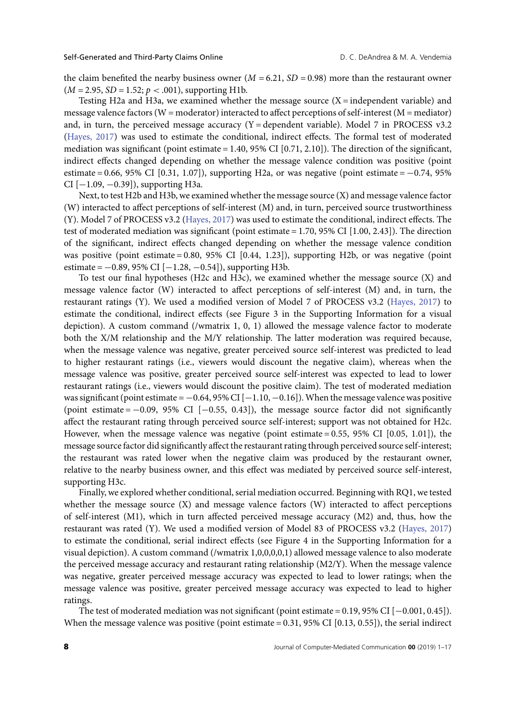the claim benefited the nearby business owner  $(M = 6.21, SD = 0.98)$  more than the restaurant owner  $(M = 2.95, SD = 1.52; p < .001)$ , supporting H1b.

Testing H2a and H3a, we examined whether the message source  $(X =$  independent variable) and message valence factors (W = moderator) interacted to affect perceptions of self-interest (M = mediator) and, in turn, the perceived message accuracy  $(Y =$  dependent variable). Model 7 in PROCESS v3.2 [\(Hayes, 2017\)](#page-16-8) was used to estimate the conditional, indirect effects. The formal test of moderated mediation was significant (point estimate  $= 1.40$ , 95% CI [0.71, 2.10]). The direction of the significant, indirect effects changed depending on whether the message valence condition was positive (point estimate = 0.66, 95% CI [0.31, 1.07]), supporting H2a, or was negative (point estimate =  $-0.74$ , 95% CI  $[-1.09, -0.39]$ , supporting H3a.

Next, to test H2b and H3b, we examined whether the message source (X) and message valence factor (W) interacted to affect perceptions of self-interest (M) and, in turn, perceived source trustworthiness (Y). Model 7 of PROCESS v3.2 [\(Hayes, 2017\)](#page-16-8) was used to estimate the conditional, indirect effects. The test of moderated mediation was significant (point estimate = 1.70, 95% CI [1.00, 2.43]). The direction of the significant, indirect effects changed depending on whether the message valence condition was positive (point estimate = 0.80, 95% CI [0.44, 1.23]), supporting H2b, or was negative (point estimate =  $-0.89$ , 95% CI [ $-1.28$ ,  $-0.54$ ]), supporting H3b.

To test our final hypotheses (H2c and H3c), we examined whether the message source (X) and message valence factor (W) interacted to affect perceptions of self-interest (M) and, in turn, the restaurant ratings (Y). We used a modified version of Model 7 of PROCESS v3.2 [\(Hayes, 2017\)](#page-16-8) to estimate the conditional, indirect effects (see Figure 3 in the Supporting Information for a visual depiction). A custom command (/wmatrix 1, 0, 1) allowed the message valence factor to moderate both the X/M relationship and the M/Y relationship. The latter moderation was required because, when the message valence was negative, greater perceived source self-interest was predicted to lead to higher restaurant ratings (i.e., viewers would discount the negative claim), whereas when the message valence was positive, greater perceived source self-interest was expected to lead to lower restaurant ratings (i.e., viewers would discount the positive claim). The test of moderated mediation was significant (point estimate =  $-0.64$ , 95% CI [ $-1.10$ ,  $-0.16$ ]). When the message valence was positive (point estimate =  $-0.09$ , 95% CI [ $-0.55$ , 0.43]), the message source factor did not significantly affect the restaurant rating through perceived source self-interest; support was not obtained for H2c. However, when the message valence was negative (point estimate  $= 0.55$ , 95% CI [0.05, 1.01]), the message source factor did significantly affect the restaurant rating through perceived source self-interest; the restaurant was rated lower when the negative claim was produced by the restaurant owner, relative to the nearby business owner, and this effect was mediated by perceived source self-interest, supporting H3c.

Finally, we explored whether conditional, serial mediation occurred. Beginning with RQ1, we tested whether the message source (X) and message valence factors (W) interacted to affect perceptions of self-interest (M1), which in turn affected perceived message accuracy (M2) and, thus, how the restaurant was rated (Y). We used a modified version of Model 83 of PROCESS v3.2 [\(Hayes, 2017\)](#page-16-8) to estimate the conditional, serial indirect effects (see Figure 4 in the Supporting Information for a visual depiction). A custom command (/wmatrix 1,0,0,0,0,1) allowed message valence to also moderate the perceived message accuracy and restaurant rating relationship (M2/Y). When the message valence was negative, greater perceived message accuracy was expected to lead to lower ratings; when the message valence was positive, greater perceived message accuracy was expected to lead to higher ratings.

The test of moderated mediation was not significant (point estimate = 0.19, 95% CI [−0.001, 0.45]). When the message valence was positive (point estimate  $= 0.31$ , 95% CI [0.13, 0.55]), the serial indirect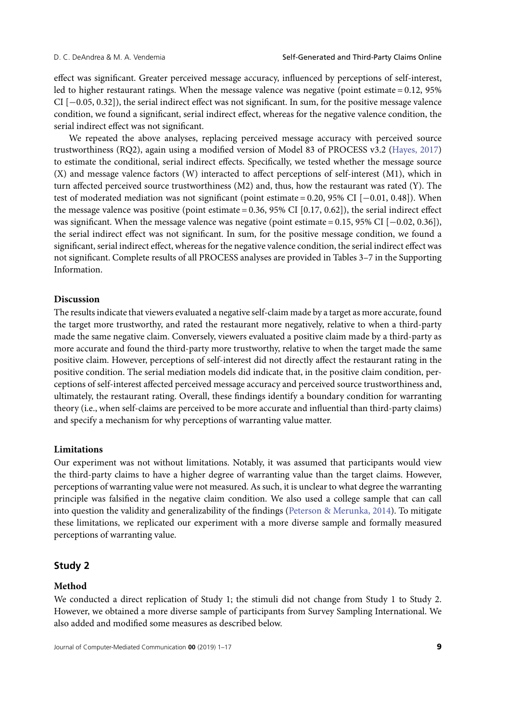effect was significant. Greater perceived message accuracy, influenced by perceptions of self-interest, led to higher restaurant ratings. When the message valence was negative (point estimate = 0.12, 95% CI [−0.05, 0.32]), the serial indirect effect was not significant. In sum, for the positive message valence condition, we found a significant, serial indirect effect, whereas for the negative valence condition, the serial indirect effect was not significant.

We repeated the above analyses, replacing perceived message accuracy with perceived source trustworthiness (RQ2), again using a modified version of Model 83 of PROCESS v3.2 [\(Hayes, 2017\)](#page-16-8) to estimate the conditional, serial indirect effects. Specifically, we tested whether the message source (X) and message valence factors (W) interacted to affect perceptions of self-interest (M1), which in turn affected perceived source trustworthiness (M2) and, thus, how the restaurant was rated (Y). The test of moderated mediation was not significant (point estimate = 0.20, 95% CI [−0.01, 0.48]). When the message valence was positive (point estimate  $= 0.36$ , 95% CI [0.17, 0.62]), the serial indirect effect was significant. When the message valence was negative (point estimate = 0.15, 95% CI [−0.02, 0.36]), the serial indirect effect was not significant. In sum, for the positive message condition, we found a significant, serial indirect effect, whereas for the negative valence condition, the serial indirect effect was not significant. Complete results of all PROCESS analyses are provided in Tables 3–7 in the Supporting Information.

#### **Discussion**

The results indicate that viewers evaluated a negative self-claim made by a target as more accurate, found the target more trustworthy, and rated the restaurant more negatively, relative to when a third-party made the same negative claim. Conversely, viewers evaluated a positive claim made by a third-party as more accurate and found the third-party more trustworthy, relative to when the target made the same positive claim. However, perceptions of self-interest did not directly affect the restaurant rating in the positive condition. The serial mediation models did indicate that, in the positive claim condition, perceptions of self-interest affected perceived message accuracy and perceived source trustworthiness and, ultimately, the restaurant rating. Overall, these findings identify a boundary condition for warranting theory (i.e., when self-claims are perceived to be more accurate and influential than third-party claims) and specify a mechanism for why perceptions of warranting value matter.

#### **Limitations**

Our experiment was not without limitations. Notably, it was assumed that participants would view the third-party claims to have a higher degree of warranting value than the target claims. However, perceptions of warranting value were not measured. As such, it is unclear to what degree the warranting principle was falsified in the negative claim condition. We also used a college sample that can call into question the validity and generalizability of the findings [\(Peterson & Merunka, 2014\)](#page-17-12). To mitigate these limitations, we replicated our experiment with a more diverse sample and formally measured perceptions of warranting value.

#### **Study 2**

#### **Method**

We conducted a direct replication of Study 1; the stimuli did not change from Study 1 to Study 2. However, we obtained a more diverse sample of participants from Survey Sampling International. We also added and modified some measures as described below.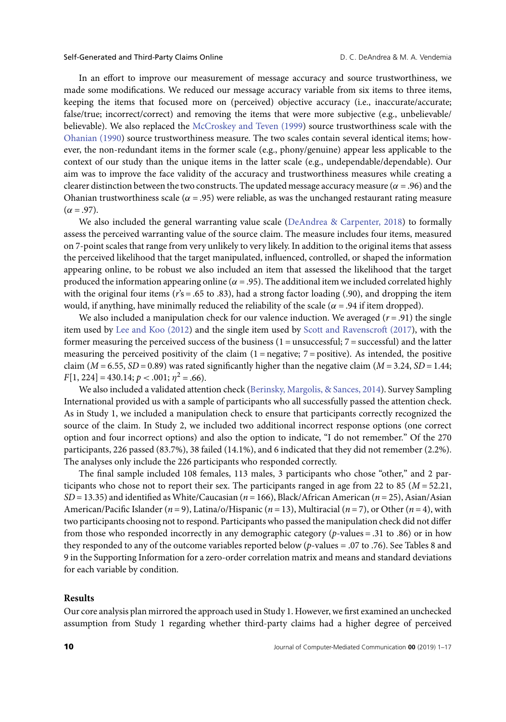In an effort to improve our measurement of message accuracy and source trustworthiness, we made some modifications. We reduced our message accuracy variable from six items to three items, keeping the items that focused more on (perceived) objective accuracy (i.e., inaccurate/accurate; false/true; incorrect/correct) and removing the items that were more subjective (e.g., unbelievable/ believable). We also replaced the [McCroskey and Teven \(1999\)](#page-17-11) source trustworthiness scale with the [Ohanian \(1990\)](#page-17-13) source trustworthiness measure. The two scales contain several identical items; however, the non-redundant items in the former scale (e.g., phony/genuine) appear less applicable to the context of our study than the unique items in the latter scale (e.g., undependable/dependable). Our aim was to improve the face validity of the accuracy and trustworthiness measures while creating a clearer distinction between the two constructs. The updated message accuracy measure ( $\alpha = .96$ ) and the Ohanian trustworthiness scale ( $\alpha$  = .95) were reliable, as was the unchanged restaurant rating measure (*α* = .97).

We also included the general warranting value scale [\(DeAndrea & Carpenter, 2018\)](#page-16-9) to formally assess the perceived warranting value of the source claim. The measure includes four items, measured on 7-point scales that range from very unlikely to very likely. In addition to the original items that assess the perceived likelihood that the target manipulated, influenced, controlled, or shaped the information appearing online, to be robust we also included an item that assessed the likelihood that the target produced the information appearing online ( $\alpha$  = .95). The additional item we included correlated highly with the original four items ( $r$ 's = .65 to .83), had a strong factor loading (.90), and dropping the item would, if anything, have minimally reduced the reliability of the scale ( $\alpha$  = .94 if item dropped).

We also included a manipulation check for our valence induction. We averaged  $(r = .91)$  the single item used by [Lee and Koo \(2012\)](#page-17-14) and the single item used by [Scott and Ravenscroft \(2017\)](#page-17-2), with the former measuring the perceived success of the business  $(1 =$  unsuccessful;  $7 =$  successful) and the latter measuring the perceived positivity of the claim  $(1 =$  negative;  $7 =$  positive). As intended, the positive claim  $(M = 6.55, SD = 0.89)$  was rated significantly higher than the negative claim  $(M = 3.24, SD = 1.44;$  $F[1, 224] = 430.14; p < .001; \eta^2 = .66$ .

We also included a validated attention check [\(Berinsky, Margolis, & Sances, 2014\)](#page-16-10). Survey Sampling International provided us with a sample of participants who all successfully passed the attention check. As in Study 1, we included a manipulation check to ensure that participants correctly recognized the source of the claim. In Study 2, we included two additional incorrect response options (one correct option and four incorrect options) and also the option to indicate, "I do not remember." Of the 270 participants, 226 passed (83.7%), 38 failed (14.1%), and 6 indicated that they did not remember (2.2%). The analyses only include the 226 participants who responded correctly.

The final sample included 108 females, 113 males, 3 participants who chose "other," and 2 participants who chose not to report their sex. The participants ranged in age from 22 to 85 ( $M = 52.21$ , *SD* = 13.35) and identified as White/Caucasian (*n* = 166), Black/African American (*n* = 25), Asian/Asian American/Pacific Islander (*n* = 9), Latina/o/Hispanic (*n* = 13), Multiracial (*n* = 7), or Other (*n* = 4), with two participants choosing not to respond. Participants who passed the manipulation check did not differ from those who responded incorrectly in any demographic category (*p*-values = .31 to .86) or in how they responded to any of the outcome variables reported below (*p*-values *=* .07 to .76). See Tables 8 and 9 in the Supporting Information for a zero-order correlation matrix and means and standard deviations for each variable by condition*.*

#### **Results**

Our core analysis plan mirrored the approach used in Study 1. However, we first examined an unchecked assumption from Study 1 regarding whether third-party claims had a higher degree of perceived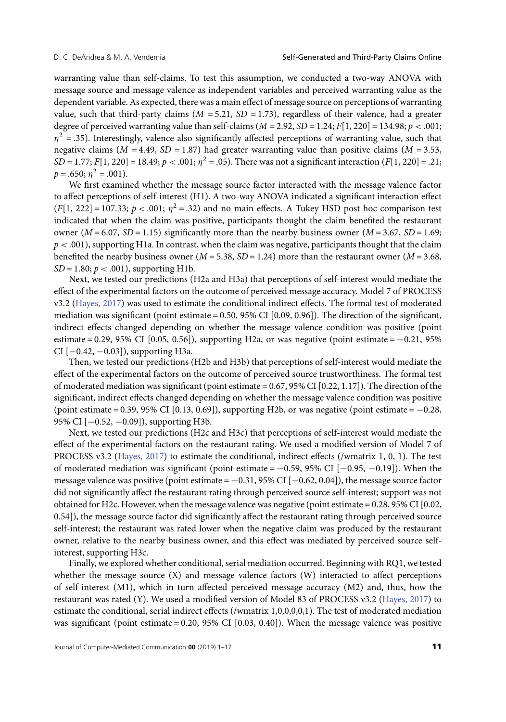warranting value than self-claims. To test this assumption, we conducted a two-way ANOVA with message source and message valence as independent variables and perceived warranting value as the dependent variable. As expected, there was a main effect of message source on perceptions of warranting value, such that third-party claims ( $M = 5.21$ ,  $SD = 1.73$ ), regardless of their valence, had a greater degree of perceived warranting value than self-claims (*M* = 2.92, *SD* = 1.24; *F*[1, 220] = 134.98; *p <* .001;  $\eta^2$  = .35). Interestingly, valence also significantly affected perceptions of warranting value, such that negative claims ( $M = 4.49$ ,  $SD = 1.87$ ) had greater warranting value than positive claims ( $M = 3.53$ , *SD* = 1.77; *F*[1, 220] = 18.49; *p* < .001;  $\eta^2$  = .05). There was not a significant interaction (*F*[1, 220] = .21;  $p = .650; \eta^2 = .001$ ).

We first examined whether the message source factor interacted with the message valence factor to affect perceptions of self-interest (H1). A two-way ANOVA indicated a significant interaction effect  $(F[1, 222] = 107.33; p < .001; \eta^2 = .32)$  and no main effects. A Tukey HSD post hoc comparison test indicated that when the claim was positive, participants thought the claim benefited the restaurant owner  $(M = 6.07, SD = 1.15)$  significantly more than the nearby business owner  $(M = 3.67, SD = 1.69;$ *p <* .001), supporting H1a. In contrast, when the claim was negative, participants thought that the claim benefited the nearby business owner (*M* = 5.38, *SD* = 1.24) more than the restaurant owner (*M* = 3.68,  $SD = 1.80$ ;  $p < .001$ ), supporting H1b.

Next, we tested our predictions (H2a and H3a) that perceptions of self-interest would mediate the effect of the experimental factors on the outcome of perceived message accuracy. Model 7 of PROCESS v3.2 [\(Hayes, 2017\)](#page-16-8) was used to estimate the conditional indirect effects. The formal test of moderated mediation was significant (point estimate = 0.50, 95% CI [0.09, 0.96]). The direction of the significant, indirect effects changed depending on whether the message valence condition was positive (point estimate = 0.29, 95% CI [0.05, 0.56]), supporting H2a, or was negative (point estimate =  $-0.21$ , 95% CI [−0.42, −0.03]), supporting H3a.

Then, we tested our predictions (H2b and H3b) that perceptions of self-interest would mediate the effect of the experimental factors on the outcome of perceived source trustworthiness. The formal test of moderated mediation was significant (point estimate = 0.67, 95% CI [0.22, 1.17]). The direction of the significant, indirect effects changed depending on whether the message valence condition was positive (point estimate = 0.39, 95% CI [0.13, 0.69]), supporting H2b, or was negative (point estimate =  $-0.28$ , 95% CI [−0.52, −0.09]), supporting H3b.

Next, we tested our predictions (H2c and H3c) that perceptions of self-interest would mediate the effect of the experimental factors on the restaurant rating. We used a modified version of Model 7 of PROCESS v3.2 [\(Hayes, 2017\)](#page-16-8) to estimate the conditional, indirect effects (/wmatrix 1, 0, 1). The test of moderated mediation was significant (point estimate =  $-0.59$ , 95% CI [ $-0.95$ ,  $-0.19$ ]). When the message valence was positive (point estimate = −0.31, 95% CI [−0.62, 0.04]), the message source factor did not significantly affect the restaurant rating through perceived source self-interest; support was not obtained for H2c. However, when the message valence was negative (point estimate = 0.28, 95% CI [0.02, 0.54]), the message source factor did significantly affect the restaurant rating through perceived source self-interest; the restaurant was rated lower when the negative claim was produced by the restaurant owner, relative to the nearby business owner, and this effect was mediated by perceived source selfinterest, supporting H3c.

Finally, we explored whether conditional, serial mediation occurred. Beginning with RQ1, we tested whether the message source (X) and message valence factors (W) interacted to affect perceptions of self-interest (M1), which in turn affected perceived message accuracy (M2) and, thus, how the restaurant was rated (Y). We used a modified version of Model 83 of PROCESS v3.2 [\(Hayes, 2017\)](#page-16-8) to estimate the conditional, serial indirect effects (/wmatrix 1,0,0,0,0,1). The test of moderated mediation was significant (point estimate = 0.20, 95% CI [0.03, 0.40]). When the message valence was positive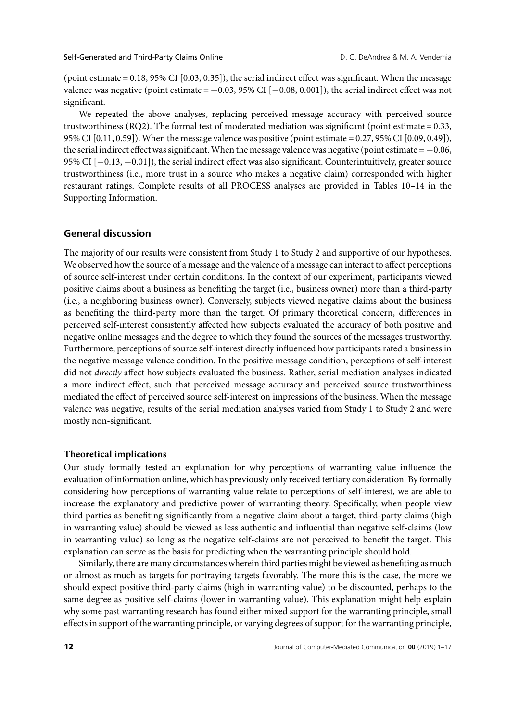#### Self-Generated and Third-Party Claims Online **D. C. DeAndrea & M. A. Vendemia**

(point estimate =  $0.18$ , 95% CI [ $0.03$ ,  $0.35$ ]), the serial indirect effect was significant. When the message valence was negative (point estimate =  $-0.03$ , 95% CI [ $-0.08$ , 0.001]), the serial indirect effect was not significant.

We repeated the above analyses, replacing perceived message accuracy with perceived source trustworthiness (RQ2). The formal test of moderated mediation was significant (point estimate = 0.33, 95% CI [0.11, 0.59]). When the message valence was positive (point estimate = 0.27, 95% CI [0.09, 0.49]), the serial indirect effect was significant. When the message valence was negative (point estimate  $= -0.06$ , 95% CI [−0.13, −0.01]), the serial indirect effect was also significant. Counterintuitively, greater source trustworthiness (i.e., more trust in a source who makes a negative claim) corresponded with higher restaurant ratings. Complete results of all PROCESS analyses are provided in Tables 10–14 in the Supporting Information.

#### **General discussion**

The majority of our results were consistent from Study 1 to Study 2 and supportive of our hypotheses. We observed how the source of a message and the valence of a message can interact to affect perceptions of source self-interest under certain conditions. In the context of our experiment, participants viewed positive claims about a business as benefiting the target (i.e., business owner) more than a third-party (i.e., a neighboring business owner). Conversely, subjects viewed negative claims about the business as benefiting the third-party more than the target. Of primary theoretical concern, differences in perceived self-interest consistently affected how subjects evaluated the accuracy of both positive and negative online messages and the degree to which they found the sources of the messages trustworthy. Furthermore, perceptions of source self-interest directly influenced how participants rated a business in the negative message valence condition. In the positive message condition, perceptions of self-interest did not *directly* affect how subjects evaluated the business. Rather, serial mediation analyses indicated a more indirect effect, such that perceived message accuracy and perceived source trustworthiness mediated the effect of perceived source self-interest on impressions of the business. When the message valence was negative, results of the serial mediation analyses varied from Study 1 to Study 2 and were mostly non-significant.

#### **Theoretical implications**

Our study formally tested an explanation for why perceptions of warranting value influence the evaluation of information online, which has previously only received tertiary consideration. By formally considering how perceptions of warranting value relate to perceptions of self-interest, we are able to increase the explanatory and predictive power of warranting theory. Specifically, when people view third parties as benefiting significantly from a negative claim about a target, third-party claims (high in warranting value) should be viewed as less authentic and influential than negative self-claims (low in warranting value) so long as the negative self-claims are not perceived to benefit the target. This explanation can serve as the basis for predicting when the warranting principle should hold.

Similarly, there are many circumstances wherein third parties might be viewed as benefiting as much or almost as much as targets for portraying targets favorably. The more this is the case, the more we should expect positive third-party claims (high in warranting value) to be discounted, perhaps to the same degree as positive self-claims (lower in warranting value). This explanation might help explain why some past warranting research has found either mixed support for the warranting principle, small effects in support of the warranting principle, or varying degrees of support for the warranting principle,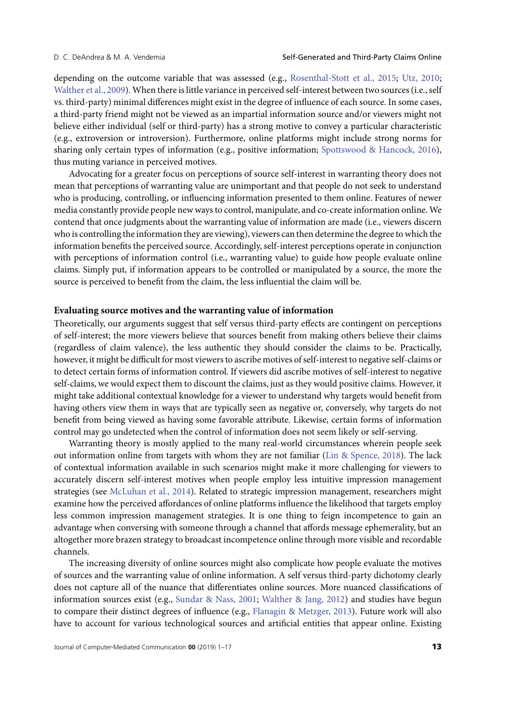depending on the outcome variable that was assessed (e.g., [Rosenthal-Stott et al., 2015;](#page-17-3) [Utz, 2010;](#page-18-2) [Walther et al., 2009\)](#page-18-3). When there is little variance in perceived self-interest between two sources (i.e., self vs. third-party) minimal differences might exist in the degree of influence of each source. In some cases, a third-party friend might not be viewed as an impartial information source and/or viewers might not believe either individual (self or third-party) has a strong motive to convey a particular characteristic (e.g., extroversion or introversion). Furthermore, online platforms might include strong norms for sharing only certain types of information (e.g., positive information; [Spottswood & Hancock, 2016\)](#page-18-5), thus muting variance in perceived motives.

Advocating for a greater focus on perceptions of source self-interest in warranting theory does not mean that perceptions of warranting value are unimportant and that people do not seek to understand who is producing, controlling, or influencing information presented to them online. Features of newer media constantly provide people new ways to control, manipulate, and co-create information online. We contend that once judgments about the warranting value of information are made (i.e., viewers discern who is controlling the information they are viewing), viewers can then determine the degree to which the information benefits the perceived source. Accordingly, self-interest perceptions operate in conjunction with perceptions of information control (i.e., warranting value) to guide how people evaluate online claims. Simply put, if information appears to be controlled or manipulated by a source, the more the source is perceived to benefit from the claim, the less influential the claim will be.

#### **Evaluating source motives and the warranting value of information**

Theoretically, our arguments suggest that self versus third-party effects are contingent on perceptions of self-interest; the more viewers believe that sources benefit from making others believe their claims (regardless of claim valence), the less authentic they should consider the claims to be. Practically, however, it might be difficult for most viewers to ascribe motives of self-interest to negative self-claims or to detect certain forms of information control. If viewers did ascribe motives of self-interest to negative self-claims, we would expect them to discount the claims, just as they would positive claims. However, it might take additional contextual knowledge for a viewer to understand why targets would benefit from having others view them in ways that are typically seen as negative or, conversely, why targets do not benefit from being viewed as having some favorable attribute. Likewise, certain forms of information control may go undetected when the control of information does not seem likely or self-serving.

Warranting theory is mostly applied to the many real-world circumstances wherein people seek out information online from targets with whom they are not familiar [\(Lin & Spence, 2018\)](#page-17-15). The lack of contextual information available in such scenarios might make it more challenging for viewers to accurately discern self-interest motives when people employ less intuitive impression management strategies (see [McLuhan et al., 2014\)](#page-17-9). Related to strategic impression management, researchers might examine how the perceived affordances of online platforms influence the likelihood that targets employ less common impression management strategies. It is one thing to feign incompetence to gain an advantage when conversing with someone through a channel that affords message ephemerality, but an altogether more brazen strategy to broadcast incompetence online through more visible and recordable channels.

The increasing diversity of online sources might also complicate how people evaluate the motives of sources and the warranting value of online information. A self versus third-party dichotomy clearly does not capture all of the nuance that differentiates online sources. More nuanced classifications of information sources exist (e.g., [Sundar & Nass, 2001;](#page-18-0) [Walther & Jang, 2012\)](#page-18-1) and studies have begun to compare their distinct degrees of influence (e.g., [Flanagin & Metzger, 2013\)](#page-16-11). Future work will also have to account for various technological sources and artificial entities that appear online. Existing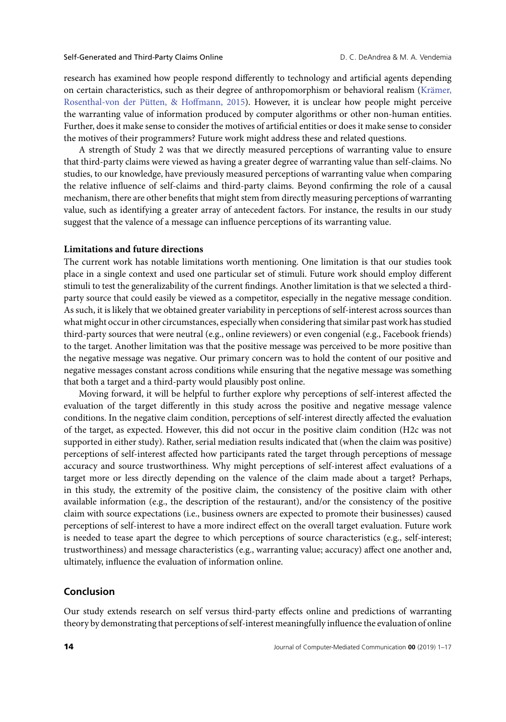research has examined how people respond differently to technology and artificial agents depending on certain characteristics, such as their degree of anthropomorphism or behavioral realism (Krämer, [Rosenthal-von der Pütten, & Hoffmann, 2015\). However, it is unclear how people might perceive](#page-17-16) the warranting value of information produced by computer algorithms or other non-human entities. Further, does it make sense to consider the motives of artificial entities or does it make sense to consider the motives of their programmers? Future work might address these and related questions.

A strength of Study 2 was that we directly measured perceptions of warranting value to ensure that third-party claims were viewed as having a greater degree of warranting value than self-claims. No studies, to our knowledge, have previously measured perceptions of warranting value when comparing the relative influence of self-claims and third-party claims. Beyond confirming the role of a causal mechanism, there are other benefits that might stem from directly measuring perceptions of warranting value, such as identifying a greater array of antecedent factors. For instance, the results in our study suggest that the valence of a message can influence perceptions of its warranting value.

#### **Limitations and future directions**

The current work has notable limitations worth mentioning. One limitation is that our studies took place in a single context and used one particular set of stimuli. Future work should employ different stimuli to test the generalizability of the current findings. Another limitation is that we selected a thirdparty source that could easily be viewed as a competitor, especially in the negative message condition. As such, it is likely that we obtained greater variability in perceptions of self-interest across sources than what might occur in other circumstances, especially when considering that similar past work has studied third-party sources that were neutral (e.g., online reviewers) or even congenial (e.g., Facebook friends) to the target. Another limitation was that the positive message was perceived to be more positive than the negative message was negative. Our primary concern was to hold the content of our positive and negative messages constant across conditions while ensuring that the negative message was something that both a target and a third-party would plausibly post online.

Moving forward, it will be helpful to further explore why perceptions of self-interest affected the evaluation of the target differently in this study across the positive and negative message valence conditions. In the negative claim condition, perceptions of self-interest directly affected the evaluation of the target, as expected. However, this did not occur in the positive claim condition (H2c was not supported in either study). Rather, serial mediation results indicated that (when the claim was positive) perceptions of self-interest affected how participants rated the target through perceptions of message accuracy and source trustworthiness. Why might perceptions of self-interest affect evaluations of a target more or less directly depending on the valence of the claim made about a target? Perhaps, in this study, the extremity of the positive claim, the consistency of the positive claim with other available information (e.g., the description of the restaurant), and/or the consistency of the positive claim with source expectations (i.e., business owners are expected to promote their businesses) caused perceptions of self-interest to have a more indirect effect on the overall target evaluation. Future work is needed to tease apart the degree to which perceptions of source characteristics (e.g., self-interest; trustworthiness) and message characteristics (e.g., warranting value; accuracy) affect one another and, ultimately, influence the evaluation of information online.

#### **Conclusion**

Our study extends research on self versus third-party effects online and predictions of warranting theory by demonstrating that perceptions of self-interest meaningfully influence the evaluation of online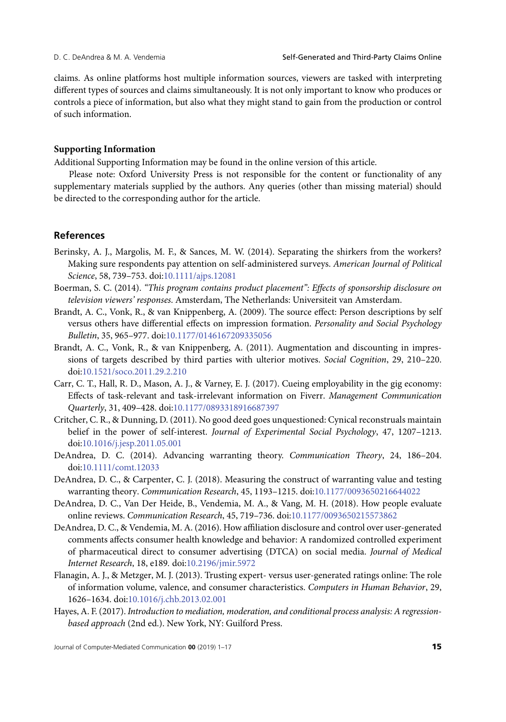claims. As online platforms host multiple information sources, viewers are tasked with interpreting different types of sources and claims simultaneously. It is not only important to know who produces or controls a piece of information, but also what they might stand to gain from the production or control of such information.

#### **Supporting Information**

Additional Supporting Information may be found in the online version of this article.

Please note: Oxford University Press is not responsible for the content or functionality of any supplementary materials supplied by the authors. Any queries (other than missing material) should be directed to the corresponding author for the article.

#### **References**

- <span id="page-16-10"></span>Berinsky, A. J., Margolis, M. F., & Sances, M. W. (2014). Separating the shirkers from the workers? Making sure respondents pay attention on self-administered surveys. *American Journal of Political Science*, 58, 739–753. doi[:10.1111/ajps.12081](https://dx.doi.org/10.1111/ajps.12081)
- <span id="page-16-4"></span>Boerman, S. C. (2014). *"This program contains product placement": Effects of sponsorship disclosure on television viewers' responses*. Amsterdam, The Netherlands: Universiteit van Amsterdam.
- <span id="page-16-2"></span>Brandt, A. C., Vonk, R., & van Knippenberg, A. (2009). The source effect: Person descriptions by self versus others have differential effects on impression formation. *Personality and Social Psychology Bulletin*, 35, 965–977. doi[:10.1177/0146167209335056](https://dx.doi.org/10.1177/0146167209335056)
- <span id="page-16-5"></span>Brandt, A. C., Vonk, R., & van Knippenberg, A. (2011). Augmentation and discounting in impressions of targets described by third parties with ulterior motives. *Social Cognition*, 29, 210–220. doi[:10.1521/soco.2011.29.2.210](https://dx.doi.org/10.1521/soco.2011.29.2.210)
- <span id="page-16-0"></span>Carr, C. T., Hall, R. D., Mason, A. J., & Varney, E. J. (2017). Cueing employability in the gig economy: Effects of task-relevant and task-irrelevant information on Fiverr. *Management Communication Quarterly*, 31, 409–428. doi[:10.1177/0893318916687397](https://dx.doi.org/10.1177/0893318916687397)
- <span id="page-16-3"></span>Critcher, C. R., & Dunning, D. (2011). No good deed goes unquestioned: Cynical reconstruals maintain belief in the power of self-interest. *Journal of Experimental Social Psychology*, 47, 1207–1213. doi[:10.1016/j.jesp.2011.05.001](https://dx.doi.org/10.1016/j.jesp.2011.05.001)
- <span id="page-16-1"></span>DeAndrea, D. C. (2014). Advancing warranting theory. *Communication Theory*, 24, 186–204. doi[:10.1111/comt.12033](https://dx.doi.org/10.1111/comt.12033)
- <span id="page-16-9"></span>DeAndrea, D. C., & Carpenter, C. J. (2018). Measuring the construct of warranting value and testing warranting theory. *Communication Research*, 45, 1193–1215. doi[:10.1177/0093650216644022](https://dx.doi.org/10.1177/0093650216644022)
- <span id="page-16-7"></span>DeAndrea, D. C., Van Der Heide, B., Vendemia, M. A., & Vang, M. H. (2018). How people evaluate online reviews. *Communication Research*, 45, 719–736. doi[:10.1177/0093650215573862](https://dx.doi.org/10.1177/0093650215573862)
- <span id="page-16-6"></span>DeAndrea, D. C., & Vendemia, M. A. (2016). How affiliation disclosure and control over user-generated comments affects consumer health knowledge and behavior: A randomized controlled experiment of pharmaceutical direct to consumer advertising (DTCA) on social media. *Journal of Medical Internet Research*, 18, e189*.* doi[:10.2196/jmir.5972](https://dx.doi.org/10.2196/jmir.5972)
- <span id="page-16-11"></span>Flanagin, A. J., & Metzger, M. J. (2013). Trusting expert- versus user-generated ratings online: The role of information volume, valence, and consumer characteristics. *Computers in Human Behavior*, 29, 1626–1634. doi[:10.1016/j.chb.2013.02.001](https://dx.doi.org/10.1016/j.chb.2013.02.001)
- <span id="page-16-8"></span>Hayes, A. F. (2017). *Introduction to mediation, moderation, and conditional process analysis: A regressionbased approach* (2nd ed.). New York, NY: Guilford Press.

Journal of Computer-Mediated Communication **00** (2019) 1–17 **15**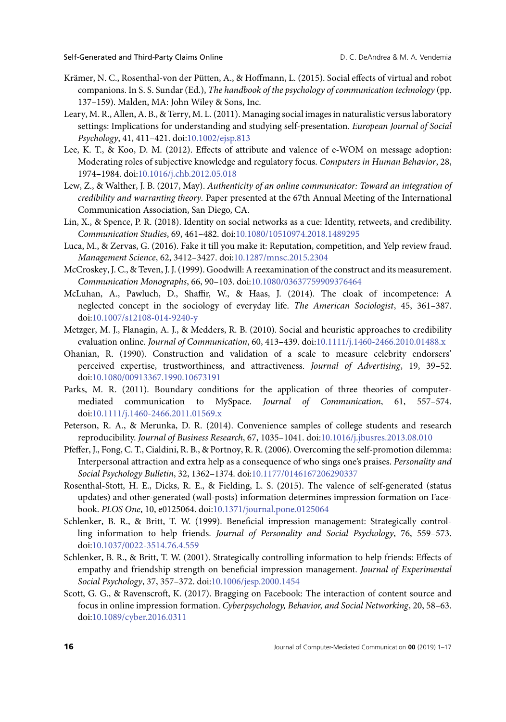- <span id="page-17-16"></span>Krämer, N. C., Rosenthal-von der Pütten, A., & Hoffmann, L. (2015). Social effects of virtual and robot companions. In S. S. Sundar (Ed.), *The handbook of the psychology of communication technology* (pp. 137–159). Malden, MA: John Wiley & Sons, Inc.
- <span id="page-17-8"></span>Leary, M. R., Allen, A. B., & Terry, M. L. (2011). Managing social images in naturalistic versus laboratory settings: Implications for understanding and studying self-presentation. *European Journal of Social Psychology*, 41, 411–421. doi[:10.1002/ejsp.813](https://dx.doi.org/10.1002/ejsp.813)
- <span id="page-17-14"></span>Lee, K. T., & Koo, D. M. (2012). Effects of attribute and valence of e-WOM on message adoption: Moderating roles of subjective knowledge and regulatory focus. *Computers in Human Behavior*, 28, 1974–1984. doi[:10.1016/j.chb.2012.05.018](https://dx.doi.org/10.1016/j.chb.2012.05.018)
- <span id="page-17-7"></span>Lew, Z., & Walther, J. B. (2017, May). *Authenticity of an online communicator: Toward an integration of credibility and warranting theory.* Paper presented at the 67th Annual Meeting of the International Communication Association, San Diego, CA.
- <span id="page-17-15"></span>Lin, X., & Spence, P. R. (2018). Identity on social networks as a cue: Identity, retweets, and credibility. *Communication Studies*, 69, 461–482. doi[:10.1080/10510974.2018.1489295](https://dx.doi.org/10.1080/10510974.2018.1489295)
- <span id="page-17-0"></span>Luca, M., & Zervas, G. (2016). Fake it till you make it: Reputation, competition, and Yelp review fraud. *Management Science*, 62, 3412–3427. doi[:10.1287/mnsc.2015.2304](https://dx.doi.org/10.1287/mnsc.2015.2304)
- <span id="page-17-11"></span>McCroskey, J. C., & Teven, J. J. (1999). Goodwill: A reexamination of the construct and its measurement. *Communication Monographs*, 66, 90–103. doi[:10.1080/03637759909376464](https://dx.doi.org/10.1080/03637759909376464)
- <span id="page-17-9"></span>McLuhan, A., Pawluch, D., Shaffir, W., & Haas, J. (2014). The cloak of incompetence: A neglected concept in the sociology of everyday life. *The American Sociologist*, 45, 361–387. doi[:10.1007/s12108-014-9240-y](https://dx.doi.org/10.1007/s12108-014-9240-y)
- <span id="page-17-10"></span>Metzger, M. J., Flanagin, A. J., & Medders, R. B. (2010). Social and heuristic approaches to credibility evaluation online. *Journal of Communication*, 60, 413–439. doi[:10.1111/j.1460-2466.2010.01488.x](https://dx.doi.org/10.1111/j.1460-2466.2010.01488.x)
- <span id="page-17-13"></span>Ohanian, R. (1990). Construction and validation of a scale to measure celebrity endorsers' perceived expertise, trustworthiness, and attractiveness. *Journal of Advertising*, 19, 39–52. doi[:10.1080/00913367.1990.10673191](https://dx.doi.org/10.1080/00913367.1990.10673191)
- <span id="page-17-1"></span>Parks, M. R. (2011). Boundary conditions for the application of three theories of computermediated communication to MySpace. *Journal of Communication*, 61, 557–574. doi[:10.1111/j.1460-2466.2011.01569.x](https://dx.doi.org/10.1111/j.1460-2466.2011.01569.x)
- <span id="page-17-12"></span>Peterson, R. A., & Merunka, D. R. (2014). Convenience samples of college students and research reproducibility. *Journal of Business Research*, 67, 1035–1041. doi[:10.1016/j.jbusres.2013.08.010](https://dx.doi.org/10.1016/j.jbusres.2013.08.010)
- <span id="page-17-6"></span>Pfeffer, J., Fong, C. T., Cialdini, R. B., & Portnoy, R. R. (2006). Overcoming the self-promotion dilemma: Interpersonal attraction and extra help as a consequence of who sings one's praises. *Personality and Social Psychology Bulletin*, 32, 1362–1374. doi[:10.1177/0146167206290337](https://dx.doi.org/10.1177/0146167206290337)
- <span id="page-17-3"></span>Rosenthal-Stott, H. E., Dicks, R. E., & Fielding, L. S. (2015). The valence of self-generated (status updates) and other-generated (wall-posts) information determines impression formation on Facebook. *PLOS One*, 10, e0125064. doi[:10.1371/journal.pone.0125064](https://dx.doi.org/10.1371/journal.pone.0125064)
- <span id="page-17-4"></span>Schlenker, B. R., & Britt, T. W. (1999). Beneficial impression management: Strategically controlling information to help friends. *Journal of Personality and Social Psychology*, 76, 559–573. doi[:10.1037/0022-3514.76.4.559](https://dx.doi.org/10.1037/0022-3514.76.4.559)
- <span id="page-17-5"></span>Schlenker, B. R., & Britt, T. W. (2001). Strategically controlling information to help friends: Effects of empathy and friendship strength on beneficial impression management. *Journal of Experimental Social Psychology*, 37, 357–372. doi[:10.1006/jesp.2000.1454](https://dx.doi.org/10.1006/jesp.2000.1454)
- <span id="page-17-2"></span>Scott, G. G., & Ravenscroft, K. (2017). Bragging on Facebook: The interaction of content source and focus in online impression formation. *Cyberpsychology, Behavior, and Social Networking*, 20, 58–63. doi[:10.1089/cyber.2016.0311](https://dx.doi.org/10.1089/cyber.2016.0311)